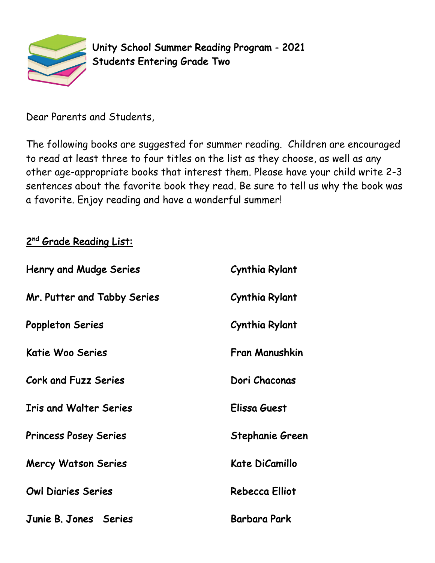

Unity School Summer Reading Program - 2021 Students Entering Grade Two

Dear Parents and Students,

The following books are suggested for summer reading. Children are encouraged to read at least three to four titles on the list as they choose, as well as any other age-appropriate books that interest them. Please have your child write 2-3 sentences about the favorite book they read. Be sure to tell us why the book was a favorite. Enjoy reading and have a wonderful summer!

## 2<sup>nd</sup> Grade Reading List:

| <b>Henry and Mudge Series</b> | Cynthia Rylant      |
|-------------------------------|---------------------|
| Mr. Putter and Tabby Series   | Cynthia Rylant      |
| <b>Poppleton Series</b>       | Cynthia Rylant      |
| Katie Woo Series              | Fran Manushkin      |
| Cork and Fuzz Series          | Dori Chaconas       |
| <b>Iris and Walter Series</b> | Elissa Guest        |
| <b>Princess Posey Series</b>  | Stephanie Green     |
| <b>Mercy Watson Series</b>    | Kate DiCamillo      |
| <b>Owl Diaries Series</b>     | Rebecca Elliot      |
| Junie B. Jones Series         | <b>Barbara Park</b> |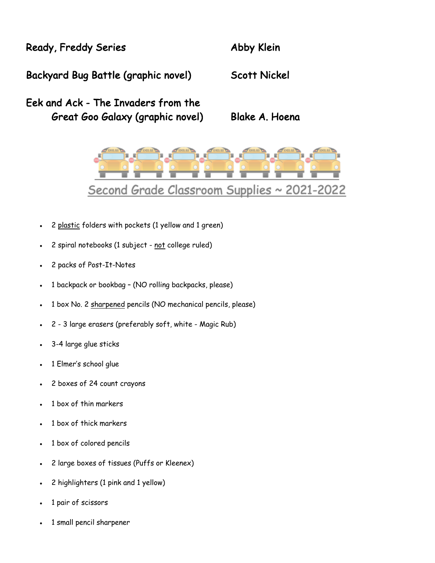Ready, Freddy Series **Abby Klein** 

Backyard Bug Battle (graphic novel) Scott Nickel

Eek and Ack - The Invaders from the Great Goo Galaxy (graphic novel) Blake A. Hoena



- 2 plastic folders with pockets (1 yellow and 1 green)
- 2 spiral notebooks (1 subject not college ruled)
- 2 packs of Post-It-Notes
- 1 backpack or bookbag (NO rolling backpacks, please)
- 1 box No. 2 sharpened pencils (NO mechanical pencils, please)
- 2 3 large erasers (preferably soft, white Magic Rub)
- 3-4 large glue sticks
- 1 Elmer's school glue
- 2 boxes of 24 count crayons
- 1 box of thin markers
- 1 box of thick markers
- 1 box of colored pencils
- 2 large boxes of tissues (Puffs or Kleenex)
- 2 highlighters (1 pink and 1 yellow)
- 1 pair of scissors
- 1 small pencil sharpener